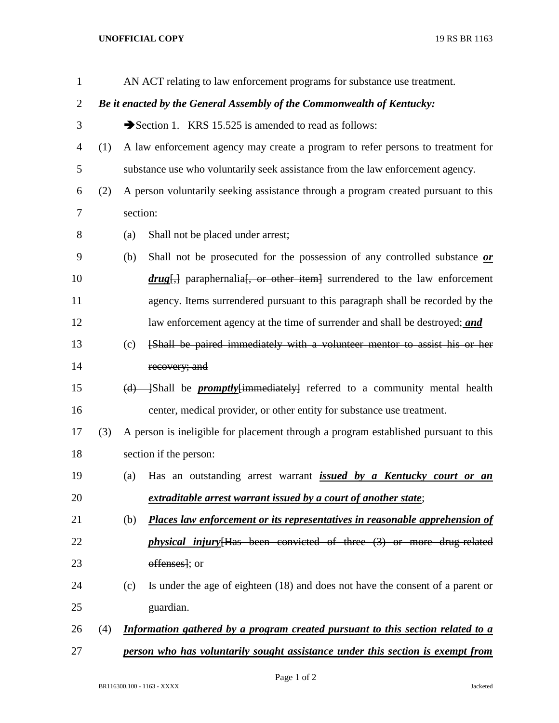## **UNOFFICIAL COPY** 19 RS BR 1163

| $\mathbf{1}$   |                                                                        |                                                                                     | AN ACT relating to law enforcement programs for substance use treatment.           |  |
|----------------|------------------------------------------------------------------------|-------------------------------------------------------------------------------------|------------------------------------------------------------------------------------|--|
| $\overline{2}$ | Be it enacted by the General Assembly of the Commonwealth of Kentucky: |                                                                                     |                                                                                    |  |
| 3              |                                                                        |                                                                                     | Section 1. KRS 15.525 is amended to read as follows:                               |  |
| 4              | (1)                                                                    |                                                                                     | A law enforcement agency may create a program to refer persons to treatment for    |  |
| 5              |                                                                        |                                                                                     | substance use who voluntarily seek assistance from the law enforcement agency.     |  |
| 6              | (2)                                                                    |                                                                                     | A person voluntarily seeking assistance through a program created pursuant to this |  |
| 7              |                                                                        | section:                                                                            |                                                                                    |  |
| 8              |                                                                        | (a)                                                                                 | Shall not be placed under arrest;                                                  |  |
| 9              |                                                                        | (b)                                                                                 | Shall not be prosecuted for the possession of any controlled substance or          |  |
| 10             |                                                                        |                                                                                     | $drug$ , paraphernalia, or other item surrendered to the law enforcement           |  |
| 11             |                                                                        |                                                                                     | agency. Items surrendered pursuant to this paragraph shall be recorded by the      |  |
| 12             |                                                                        |                                                                                     | law enforcement agency at the time of surrender and shall be destroyed; and        |  |
| 13             |                                                                        | (c)                                                                                 | [Shall be paired immediately with a volunteer mentor to assist his or her          |  |
| 14             |                                                                        |                                                                                     | recovery; and                                                                      |  |
| 15             |                                                                        | (d)                                                                                 | -Shall be <i>promptly</i> {immediately} referred to a community mental health      |  |
| 16             |                                                                        |                                                                                     | center, medical provider, or other entity for substance use treatment.             |  |
| 17             | (3)                                                                    | A person is ineligible for placement through a program established pursuant to this |                                                                                    |  |
| 18             |                                                                        | section if the person:                                                              |                                                                                    |  |
| 19             |                                                                        | (a)                                                                                 | Has an outstanding arrest warrant <i>issued by a Kentucky court or an</i>          |  |
| 20             |                                                                        |                                                                                     | extraditable arrest warrant issued by a court of another state;                    |  |
| 21             |                                                                        | (b)                                                                                 | Places law enforcement or its representatives in reasonable apprehension of        |  |
| 22             |                                                                        |                                                                                     | <i>physical injury</i> [Has been convicted of three (3) or more drug-related       |  |
| 23             |                                                                        |                                                                                     | offenses]; or                                                                      |  |
| 24             |                                                                        | (c)                                                                                 | Is under the age of eighteen (18) and does not have the consent of a parent or     |  |
| 25             |                                                                        |                                                                                     | guardian.                                                                          |  |
| 26             | (4)                                                                    |                                                                                     | Information gathered by a program created pursuant to this section related to a    |  |
| 27             |                                                                        |                                                                                     | person who has voluntarily sought assistance under this section is exempt from     |  |